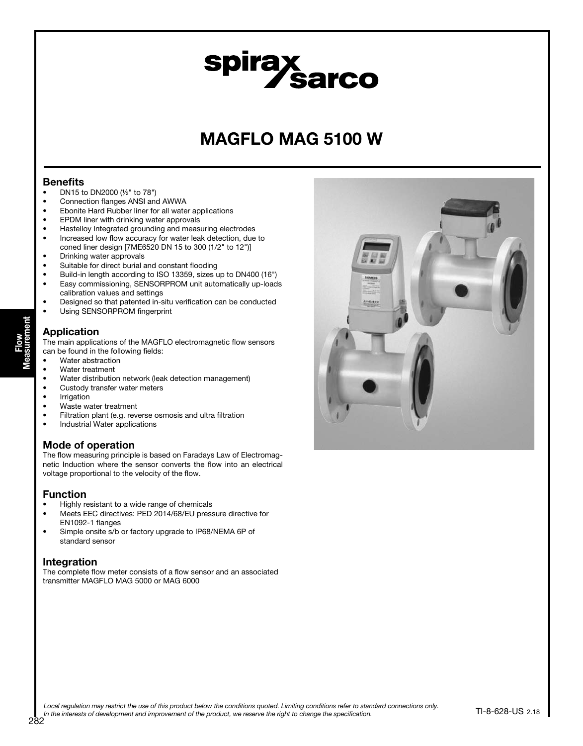# spirax<br>Sarco

## MAGFLO MAG 5100 W

#### Benefits

- DN15 to DN2000 (½" to 78")
- Connection flanges ANSI and AWWA
- Ebonite Hard Rubber liner for all water applications<br>• FPDM liner with drinking water approvals
- EPDM liner with drinking water approvals<br>• Hastellov Integrated grounding and mease
- Hastelloy Integrated grounding and measuring electrodes<br>• Increased low flow accuracy for water leak detection due • Increased low flow accuracy for water leak detection, due to
- coned liner design [7ME6520 DN 15 to 300 (1/2" to 12")] • Drinking water approvals
- Suitable for direct burial and constant flooding
- Build-in length according to ISO 13359, sizes up to DN400 (16")
- Easy commissioning, SENSORPROM unit automatically up-loads calibration values and settings
- Designed so that patented in-situ verification can be conducted
- Using SENSORPROM fingerprint

#### Application

Flow Measurement

The main applications of the MAGFLO electromagnetic flow sensors can be found in the following fields:

- Water abstraction
- Water treatment
- Water distribution network (leak detection management)
- Custody transfer water meters
- Irrigation
- Waste water treatment
- Filtration plant (e.g. reverse osmosis and ultra filtration
- Industrial Water applications

#### Mode of operation

The flow measuring principle is based on Faradays Law of Electromagnetic Induction where the sensor converts the flow into an electrical voltage proportional to the velocity of the flow.

#### Function

- Highly resistant to a wide range of chemicals
- Meets EEC directives: PED 2014/68/EU pressure directive for EN1092-1 flanges
- Simple onsite s/b or factory upgrade to IP68/NEMA 6P of standard sensor

#### Integration

The complete flow meter consists of a flow sensor and an associated transmitter MAGFLO MAG 5000 or MAG 6000



Local regulation may restrict the use of this product below the conditions quoted. Limiting conditions refer to standard connections only. In the interests of development and improvement of the product, we reserve the right to change the specification.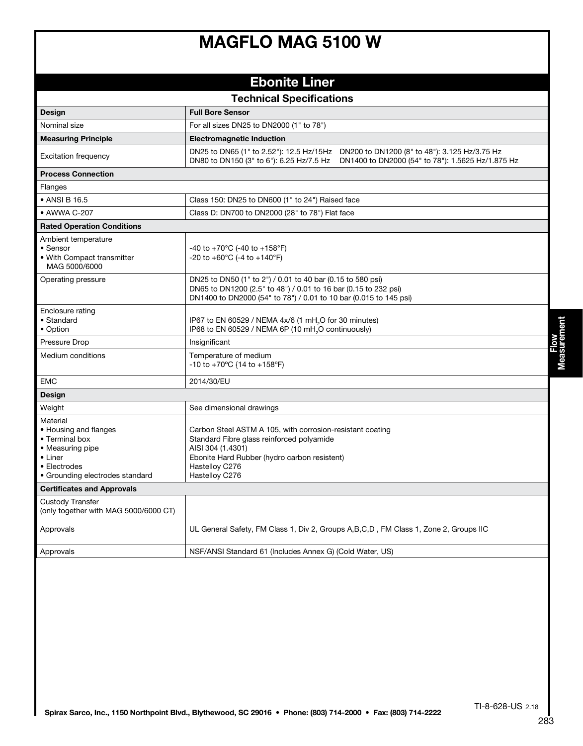|                                                                                                                                               | <b>MAGFLO MAG 5100 W</b>                                                                                                                                                                                        |                     |
|-----------------------------------------------------------------------------------------------------------------------------------------------|-----------------------------------------------------------------------------------------------------------------------------------------------------------------------------------------------------------------|---------------------|
|                                                                                                                                               |                                                                                                                                                                                                                 |                     |
|                                                                                                                                               | <b>Ebonite Liner</b>                                                                                                                                                                                            |                     |
|                                                                                                                                               | <b>Technical Specifications</b>                                                                                                                                                                                 |                     |
| Design                                                                                                                                        | <b>Full Bore Sensor</b>                                                                                                                                                                                         |                     |
| Nominal size                                                                                                                                  | For all sizes DN25 to DN2000 (1" to 78")                                                                                                                                                                        |                     |
| <b>Measuring Principle</b>                                                                                                                    | <b>Electromagnetic Induction</b>                                                                                                                                                                                |                     |
| <b>Excitation frequency</b>                                                                                                                   | DN25 to DN65 (1" to 2.52"): 12.5 Hz/15Hz DN200 to DN1200 (8" to 48"): 3.125 Hz/3.75 Hz<br>DN80 to DN150 (3" to 6"): 6.25 Hz/7.5 Hz<br>DN1400 to DN2000 (54" to 78"): 1.5625 Hz/1.875 Hz                         |                     |
| <b>Process Connection</b>                                                                                                                     |                                                                                                                                                                                                                 |                     |
| Flanges                                                                                                                                       |                                                                                                                                                                                                                 |                     |
| • ANSI B 16.5                                                                                                                                 | Class 150: DN25 to DN600 (1" to 24") Raised face                                                                                                                                                                |                     |
| • AWWA C-207                                                                                                                                  | Class D: DN700 to DN2000 (28" to 78") Flat face                                                                                                                                                                 |                     |
| <b>Rated Operation Conditions</b>                                                                                                             |                                                                                                                                                                                                                 |                     |
| Ambient temperature<br>• Sensor<br>• With Compact transmitter<br>MAG 5000/6000                                                                | -40 to +70°C (-40 to +158°F)<br>-20 to +60 $^{\circ}$ C (-4 to +140 $^{\circ}$ F)                                                                                                                               |                     |
| Operating pressure                                                                                                                            | DN25 to DN50 (1" to 2") / 0.01 to 40 bar (0.15 to 580 psi)<br>DN65 to DN1200 (2.5" to 48") / 0.01 to 16 bar (0.15 to 232 psi)<br>DN1400 to DN2000 (54" to 78") / 0.01 to 10 bar (0.015 to 145 psi)              |                     |
| Enclosure rating<br>• Standard<br>• Option                                                                                                    | IP67 to EN 60529 / NEMA 4x/6 (1 mH <sub>2</sub> O for 30 minutes)<br>IP68 to EN 60529 / NEMA 6P (10 mH <sub>2</sub> O continuously)                                                                             |                     |
| Pressure Drop                                                                                                                                 | Insignificant                                                                                                                                                                                                   |                     |
| Medium conditions                                                                                                                             | Temperature of medium<br>-10 to +70°C {14 to +158°F)                                                                                                                                                            | Flow<br>Measurement |
| <b>EMC</b>                                                                                                                                    | 2014/30/EU                                                                                                                                                                                                      |                     |
| Design                                                                                                                                        |                                                                                                                                                                                                                 |                     |
| Weight                                                                                                                                        | See dimensional drawings                                                                                                                                                                                        |                     |
| Material<br>• Housing and flanges<br>• Terminal box<br>• Measuring pipe<br>$\bullet$ Liner<br>• Electrodes<br>• Grounding electrodes standard | Carbon Steel ASTM A 105, with corrosion-resistant coating<br>Standard Fibre glass reinforced polyamide<br>AISI 304 (1.4301)<br>Ebonite Hard Rubber (hydro carbon resistent)<br>Hastelloy C276<br>Hastelloy C276 |                     |
| <b>Certificates and Approvals</b>                                                                                                             |                                                                                                                                                                                                                 |                     |
| <b>Custody Transfer</b><br>(only together with MAG 5000/6000 CT)                                                                              |                                                                                                                                                                                                                 |                     |
| Approvals                                                                                                                                     | UL General Safety, FM Class 1, Div 2, Groups A, B, C, D, FM Class 1, Zone 2, Groups IIC                                                                                                                         |                     |
| Approvals                                                                                                                                     | NSF/ANSI Standard 61 (Includes Annex G) (Cold Water, US)                                                                                                                                                        |                     |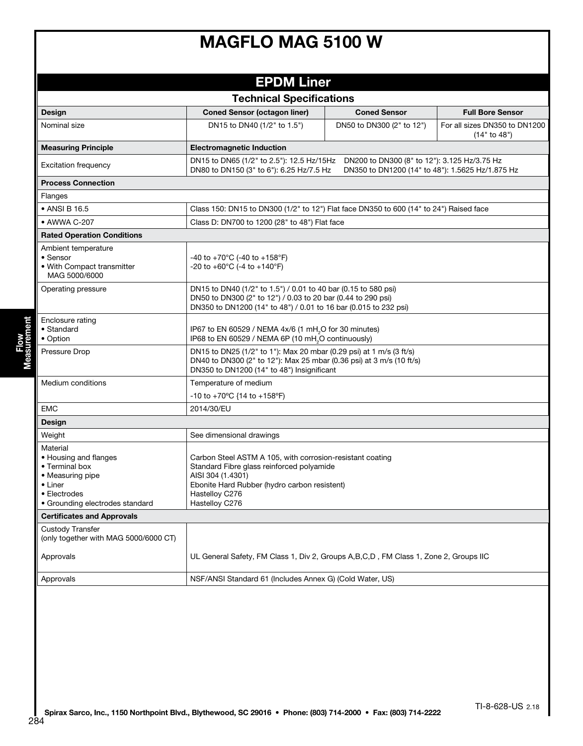|                                                                                                                                       | <b>MAGFLO MAG 5100 W</b><br><b>EPDM Liner</b><br><b>Technical Specifications</b><br><b>Coned Sensor (octagon liner)</b><br><b>Coned Sensor</b><br><b>Full Bore Sensor</b><br>DN15 to DN40 (1/2" to 1.5")<br>DN50 to DN300 (2" to 12")<br>For all sizes DN350 to DN1200<br>(14" to 48")<br><b>Electromagnetic Induction</b><br>DN200 to DN300 (8" to 12"): 3.125 Hz/3.75 Hz<br>DN15 to DN65 (1/2" to 2.5"): 12.5 Hz/15Hz<br>DN80 to DN150 (3" to 6"): 6.25 Hz/7.5 Hz<br>DN350 to DN1200 (14" to 48"): 1.5625 Hz/1.875 Hz<br>Class 150: DN15 to DN300 (1/2" to 12") Flat face DN350 to 600 (14" to 24") Raised face<br>Class D: DN700 to 1200 (28" to 48") Flat face<br>-40 to +70°C (-40 to +158°F)<br>-20 to +60 $^{\circ}$ C (-4 to +140 $^{\circ}$ F)<br>DN15 to DN40 (1/2" to 1.5") / 0.01 to 40 bar (0.15 to 580 psi)<br>DN50 to DN300 (2" to 12") / 0.03 to 20 bar (0.44 to 290 psi)<br>DN350 to DN1200 (14" to 48") / 0.01 to 16 bar (0.015 to 232 psi)<br>IP67 to EN 60529 / NEMA 4x/6 (1 mH <sub>2</sub> O for 30 minutes)<br>IP68 to EN 60529 / NEMA 6P (10 mH <sub>2</sub> O continuously)<br>DN15 to DN25 (1/2" to 1"): Max 20 mbar (0.29 psi) at 1 m/s (3 ft/s)<br>DN40 to DN300 (2" to 12"): Max 25 mbar (0.36 psi) at 3 m/s (10 ft/s)<br>DN350 to DN1200 (14" to 48") Insignificant<br>Temperature of medium<br>$-10$ to $+70^{\circ}$ C {14 to $+158^{\circ}$ F)<br>2014/30/EU<br>See dimensional drawings<br>Carbon Steel ASTM A 105, with corrosion-resistant coating<br>Standard Fibre glass reinforced polyamide |  |
|---------------------------------------------------------------------------------------------------------------------------------------|-------------------------------------------------------------------------------------------------------------------------------------------------------------------------------------------------------------------------------------------------------------------------------------------------------------------------------------------------------------------------------------------------------------------------------------------------------------------------------------------------------------------------------------------------------------------------------------------------------------------------------------------------------------------------------------------------------------------------------------------------------------------------------------------------------------------------------------------------------------------------------------------------------------------------------------------------------------------------------------------------------------------------------------------------------------------------------------------------------------------------------------------------------------------------------------------------------------------------------------------------------------------------------------------------------------------------------------------------------------------------------------------------------------------------------------------------------------------------------------------------------------------------------------|--|
|                                                                                                                                       |                                                                                                                                                                                                                                                                                                                                                                                                                                                                                                                                                                                                                                                                                                                                                                                                                                                                                                                                                                                                                                                                                                                                                                                                                                                                                                                                                                                                                                                                                                                                     |  |
| Design                                                                                                                                |                                                                                                                                                                                                                                                                                                                                                                                                                                                                                                                                                                                                                                                                                                                                                                                                                                                                                                                                                                                                                                                                                                                                                                                                                                                                                                                                                                                                                                                                                                                                     |  |
| Nominal size                                                                                                                          |                                                                                                                                                                                                                                                                                                                                                                                                                                                                                                                                                                                                                                                                                                                                                                                                                                                                                                                                                                                                                                                                                                                                                                                                                                                                                                                                                                                                                                                                                                                                     |  |
| <b>Measuring Principle</b>                                                                                                            |                                                                                                                                                                                                                                                                                                                                                                                                                                                                                                                                                                                                                                                                                                                                                                                                                                                                                                                                                                                                                                                                                                                                                                                                                                                                                                                                                                                                                                                                                                                                     |  |
| <b>Excitation frequency</b>                                                                                                           |                                                                                                                                                                                                                                                                                                                                                                                                                                                                                                                                                                                                                                                                                                                                                                                                                                                                                                                                                                                                                                                                                                                                                                                                                                                                                                                                                                                                                                                                                                                                     |  |
| <b>Process Connection</b>                                                                                                             |                                                                                                                                                                                                                                                                                                                                                                                                                                                                                                                                                                                                                                                                                                                                                                                                                                                                                                                                                                                                                                                                                                                                                                                                                                                                                                                                                                                                                                                                                                                                     |  |
| Flanges                                                                                                                               |                                                                                                                                                                                                                                                                                                                                                                                                                                                                                                                                                                                                                                                                                                                                                                                                                                                                                                                                                                                                                                                                                                                                                                                                                                                                                                                                                                                                                                                                                                                                     |  |
| • ANSI B 16.5                                                                                                                         |                                                                                                                                                                                                                                                                                                                                                                                                                                                                                                                                                                                                                                                                                                                                                                                                                                                                                                                                                                                                                                                                                                                                                                                                                                                                                                                                                                                                                                                                                                                                     |  |
| • AWWA C-207                                                                                                                          |                                                                                                                                                                                                                                                                                                                                                                                                                                                                                                                                                                                                                                                                                                                                                                                                                                                                                                                                                                                                                                                                                                                                                                                                                                                                                                                                                                                                                                                                                                                                     |  |
| <b>Rated Operation Conditions</b>                                                                                                     |                                                                                                                                                                                                                                                                                                                                                                                                                                                                                                                                                                                                                                                                                                                                                                                                                                                                                                                                                                                                                                                                                                                                                                                                                                                                                                                                                                                                                                                                                                                                     |  |
| Ambient temperature<br>• Sensor<br>• With Compact transmitter<br>MAG 5000/6000                                                        |                                                                                                                                                                                                                                                                                                                                                                                                                                                                                                                                                                                                                                                                                                                                                                                                                                                                                                                                                                                                                                                                                                                                                                                                                                                                                                                                                                                                                                                                                                                                     |  |
| Operating pressure                                                                                                                    |                                                                                                                                                                                                                                                                                                                                                                                                                                                                                                                                                                                                                                                                                                                                                                                                                                                                                                                                                                                                                                                                                                                                                                                                                                                                                                                                                                                                                                                                                                                                     |  |
| Enclosure rating<br>• Standard<br>• Option                                                                                            |                                                                                                                                                                                                                                                                                                                                                                                                                                                                                                                                                                                                                                                                                                                                                                                                                                                                                                                                                                                                                                                                                                                                                                                                                                                                                                                                                                                                                                                                                                                                     |  |
| Pressure Drop                                                                                                                         |                                                                                                                                                                                                                                                                                                                                                                                                                                                                                                                                                                                                                                                                                                                                                                                                                                                                                                                                                                                                                                                                                                                                                                                                                                                                                                                                                                                                                                                                                                                                     |  |
| Medium conditions                                                                                                                     |                                                                                                                                                                                                                                                                                                                                                                                                                                                                                                                                                                                                                                                                                                                                                                                                                                                                                                                                                                                                                                                                                                                                                                                                                                                                                                                                                                                                                                                                                                                                     |  |
|                                                                                                                                       |                                                                                                                                                                                                                                                                                                                                                                                                                                                                                                                                                                                                                                                                                                                                                                                                                                                                                                                                                                                                                                                                                                                                                                                                                                                                                                                                                                                                                                                                                                                                     |  |
| <b>EMC</b>                                                                                                                            |                                                                                                                                                                                                                                                                                                                                                                                                                                                                                                                                                                                                                                                                                                                                                                                                                                                                                                                                                                                                                                                                                                                                                                                                                                                                                                                                                                                                                                                                                                                                     |  |
| Design                                                                                                                                |                                                                                                                                                                                                                                                                                                                                                                                                                                                                                                                                                                                                                                                                                                                                                                                                                                                                                                                                                                                                                                                                                                                                                                                                                                                                                                                                                                                                                                                                                                                                     |  |
| Weight                                                                                                                                |                                                                                                                                                                                                                                                                                                                                                                                                                                                                                                                                                                                                                                                                                                                                                                                                                                                                                                                                                                                                                                                                                                                                                                                                                                                                                                                                                                                                                                                                                                                                     |  |
| Material<br>• Housing and flanges<br>• Terminal box<br>• Measuring pipe<br>• Liner<br>• Electrodes<br>• Grounding electrodes standard | AISI 304 (1.4301)<br>Ebonite Hard Rubber (hydro carbon resistent)<br>Hastelloy C276<br>Hastelloy C276                                                                                                                                                                                                                                                                                                                                                                                                                                                                                                                                                                                                                                                                                                                                                                                                                                                                                                                                                                                                                                                                                                                                                                                                                                                                                                                                                                                                                               |  |
| <b>Certificates and Approvals</b>                                                                                                     |                                                                                                                                                                                                                                                                                                                                                                                                                                                                                                                                                                                                                                                                                                                                                                                                                                                                                                                                                                                                                                                                                                                                                                                                                                                                                                                                                                                                                                                                                                                                     |  |
| Custody Transfer<br>(only together with MAG 5000/6000 CT)                                                                             |                                                                                                                                                                                                                                                                                                                                                                                                                                                                                                                                                                                                                                                                                                                                                                                                                                                                                                                                                                                                                                                                                                                                                                                                                                                                                                                                                                                                                                                                                                                                     |  |
| Approvals                                                                                                                             | UL General Safety, FM Class 1, Div 2, Groups A, B, C, D, FM Class 1, Zone 2, Groups IIC                                                                                                                                                                                                                                                                                                                                                                                                                                                                                                                                                                                                                                                                                                                                                                                                                                                                                                                                                                                                                                                                                                                                                                                                                                                                                                                                                                                                                                             |  |
| Approvals                                                                                                                             | NSF/ANSI Standard 61 (Includes Annex G) (Cold Water, US)                                                                                                                                                                                                                                                                                                                                                                                                                                                                                                                                                                                                                                                                                                                                                                                                                                                                                                                                                                                                                                                                                                                                                                                                                                                                                                                                                                                                                                                                            |  |
|                                                                                                                                       |                                                                                                                                                                                                                                                                                                                                                                                                                                                                                                                                                                                                                                                                                                                                                                                                                                                                                                                                                                                                                                                                                                                                                                                                                                                                                                                                                                                                                                                                                                                                     |  |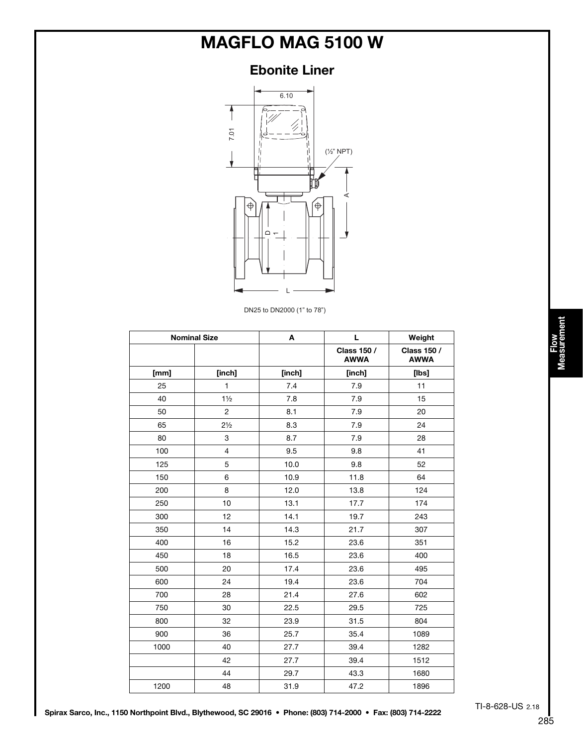### Ebonite Liner



DN25 to DN2000 (1" to 78")

|      | <b>Nominal Size</b>      | A      | L                                 | Weight                            |
|------|--------------------------|--------|-----------------------------------|-----------------------------------|
|      |                          |        | <b>Class 150 /</b><br><b>AWWA</b> | <b>Class 150 /</b><br><b>AWWA</b> |
| [mm] | [inch]                   | [inch] | [inch]                            | $[$ lbs $]$                       |
| 25   | $\mathbf{1}$             | 7.4    | 7.9                               | 11                                |
| 40   | $1\frac{1}{2}$           | 7.8    | 7.9                               | 15                                |
| 50   | $\mathbf{2}$             | 8.1    | 7.9                               | 20                                |
| 65   | $2\frac{1}{2}$           | 8.3    | 7.9                               | 24                                |
| 80   | 3                        | 8.7    | 7.9                               | 28                                |
| 100  | $\overline{\mathcal{L}}$ | 9.5    | 9.8                               | 41                                |
| 125  | 5                        | 10.0   | 9.8                               | 52                                |
| 150  | 6                        | 10.9   | 11.8                              | 64                                |
| 200  | 8                        | 12.0   | 13.8                              | 124                               |
| 250  | 10                       | 13.1   | 17.7                              | 174                               |
| 300  | 12                       | 14.1   | 19.7                              | 243                               |
| 350  | 14                       | 14.3   | 21.7                              | 307                               |
| 400  | 16                       | 15.2   | 23.6                              | 351                               |
| 450  | 18                       | 16.5   | 23.6                              | 400                               |
| 500  | 20                       | 17.4   | 23.6                              | 495                               |
| 600  | 24                       | 19.4   | 23.6                              | 704                               |
| 700  | 28                       | 21.4   | 27.6                              | 602                               |
| 750  | 30                       | 22.5   | 29.5                              | 725                               |
| 800  | 32                       | 23.9   | 31.5                              | 804                               |
| 900  | 36                       | 25.7   | 35.4                              | 1089                              |
| 1000 | 40                       | 27.7   | 39.4                              | 1282                              |
|      | 42                       | 27.7   | 39.4                              | 1512                              |
|      | 44                       | 29.7   | 43.3                              | 1680                              |
| 1200 | 48                       | 31.9   | 47.2                              | 1896                              |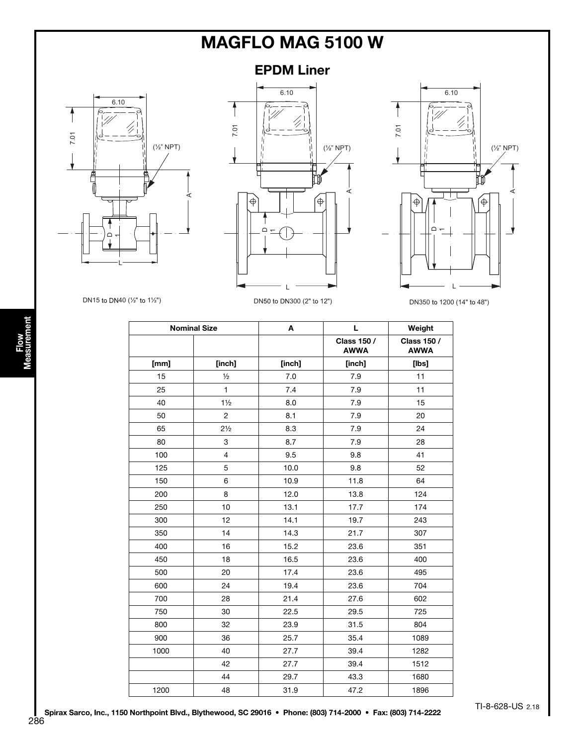$6.10$ 4 7.01 A Dᄀ L





DN15 to DN40 ( $\frac{1}{2}$ " to 1 $\frac{1}{2}$ ") DN50 to DN300 (2" to 12")

DN350 to 1200 (14" to 48")

|      | <b>Nominal Size</b> | A      | L                                 | Weight                            |
|------|---------------------|--------|-----------------------------------|-----------------------------------|
|      |                     |        | <b>Class 150 /</b><br><b>AWWA</b> | <b>Class 150 /</b><br><b>AWWA</b> |
| [mm] | [inch]              | [inch] | [inch]                            | [lbs]                             |
| 15   | $\frac{1}{2}$       | 7.0    | 7.9                               | 11                                |
| 25   | $\mathbf{1}$        | 7.4    | 7.9                               | 11                                |
| 40   | $1\frac{1}{2}$      | 8.0    | 7.9                               | 15                                |
| 50   | 2                   | 8.1    | 7.9                               | 20                                |
| 65   | $2\frac{1}{2}$      | 8.3    | 7.9                               | 24                                |
| 80   | 3                   | 8.7    | 7.9                               | 28                                |
| 100  | $\overline{4}$      | 9.5    | 9.8                               | 41                                |
| 125  | 5                   | 10.0   | 9.8                               | 52                                |
| 150  | 6                   | 10.9   | 11.8                              | 64                                |
| 200  | 8                   | 12.0   | 13.8                              | 124                               |
| 250  | 10                  | 13.1   | 17.7                              | 174                               |
| 300  | 12                  | 14.1   | 19.7                              | 243                               |
| 350  | 14                  | 14.3   | 21.7                              | 307                               |
| 400  | 16                  | 15.2   | 23.6                              | 351                               |
| 450  | 18                  | 16.5   | 23.6                              | 400                               |
| 500  | 20                  | 17.4   | 23.6                              | 495                               |
| 600  | 24                  | 19.4   | 23.6                              | 704                               |
| 700  | 28                  | 21.4   | 27.6                              | 602                               |
| 750  | 30                  | 22.5   | 29.5                              | 725                               |
| 800  | 32                  | 23.9   | 31.5                              | 804                               |
| 900  | 36                  | 25.7   | 35.4                              | 1089                              |
| 1000 | 40                  | 27.7   | 39.4                              | 1282                              |
|      | 42                  | 27.7   | 39.4                              | 1512                              |
|      | 44                  | 29.7   | 43.3                              | 1680                              |
| 1200 | 48                  | 31.9   | 47.2                              | 1896                              |

Flow Measurement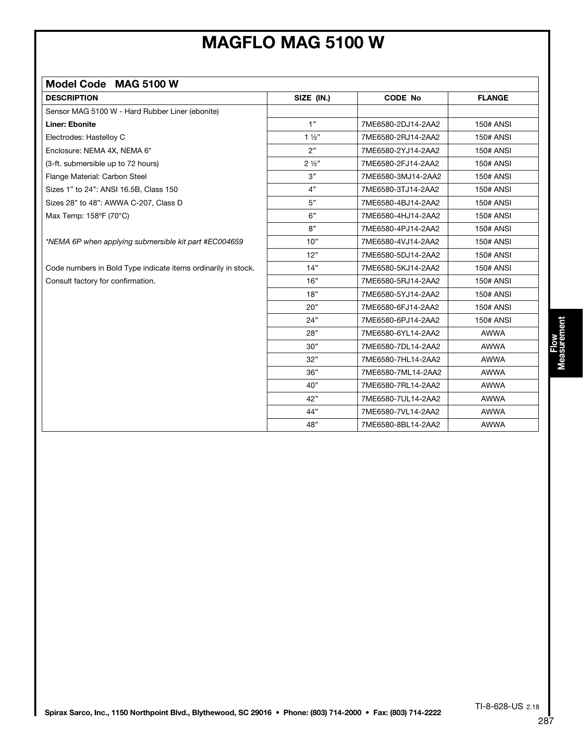| Model Code MAG 5100 W                                         |                |                    |                  |
|---------------------------------------------------------------|----------------|--------------------|------------------|
| <b>DESCRIPTION</b>                                            | SIZE (IN.)     | <b>CODE No</b>     | <b>FLANGE</b>    |
| Sensor MAG 5100 W - Hard Rubber Liner (ebonite)               |                |                    |                  |
| <b>Liner: Ebonite</b>                                         | 1"             | 7ME6580-2DJ14-2AA2 | <b>150# ANSI</b> |
| Electrodes: Hastelloy C                                       | $1\frac{1}{2}$ | 7ME6580-2RJ14-2AA2 | <b>150# ANSI</b> |
| Enclosure: NEMA 4X, NEMA 6*                                   | 2"             | 7ME6580-2YJ14-2AA2 | <b>150# ANSI</b> |
| (3-ft. submersible up to 72 hours)                            | $2\frac{1}{2}$ | 7ME6580-2FJ14-2AA2 | <b>150# ANSI</b> |
| Flange Material: Carbon Steel                                 | 3"             | 7ME6580-3MJ14-2AA2 | <b>150# ANSI</b> |
| Sizes 1" to 24": ANSI 16.5B, Class 150                        | 4"             | 7ME6580-3TJ14-2AA2 | <b>150# ANSI</b> |
| Sizes 28" to 48": AWWA C-207, Class D                         | 5"             | 7ME6580-4BJ14-2AA2 | <b>150# ANSI</b> |
| Max Temp: 158°F (70°C)                                        | 6"             | 7ME6580-4HJ14-2AA2 | <b>150# ANSI</b> |
|                                                               | 8"             | 7ME6580-4PJ14-2AA2 | <b>150# ANSI</b> |
| *NEMA 6P when applying submersible kit part #EC004659         | 10"            | 7ME6580-4VJ14-2AA2 | <b>150# ANSI</b> |
|                                                               | 12"            | 7ME6580-5DJ14-2AA2 | <b>150# ANSI</b> |
| Code numbers in Bold Type indicate items ordinarily in stock. | 14"            | 7ME6580-5KJ14-2AA2 | <b>150# ANSI</b> |
| Consult factory for confirmation.                             | 16"            | 7ME6580-5RJ14-2AA2 | <b>150# ANSI</b> |
|                                                               | 18"            | 7ME6580-5YJ14-2AA2 | <b>150# ANSI</b> |
|                                                               | 20"            | 7ME6580-6FJ14-2AA2 | <b>150# ANSI</b> |
|                                                               | 24"            | 7ME6580-6PJ14-2AA2 | <b>150# ANSI</b> |
|                                                               | 28"            | 7ME6580-6YL14-2AA2 | <b>AWWA</b>      |
|                                                               | 30"            | 7ME6580-7DL14-2AA2 | <b>AWWA</b>      |
|                                                               | 32"            | 7ME6580-7HL14-2AA2 | <b>AWWA</b>      |
|                                                               | 36"            | 7ME6580-7ML14-2AA2 | AWWA             |
|                                                               | 40"            | 7ME6580-7RL14-2AA2 | <b>AWWA</b>      |
|                                                               | 42"            | 7ME6580-7UL14-2AA2 | <b>AWWA</b>      |
|                                                               | 44"            | 7ME6580-7VL14-2AA2 | AWWA             |
|                                                               | 48"            | 7ME6580-8BL14-2AA2 | AWWA             |